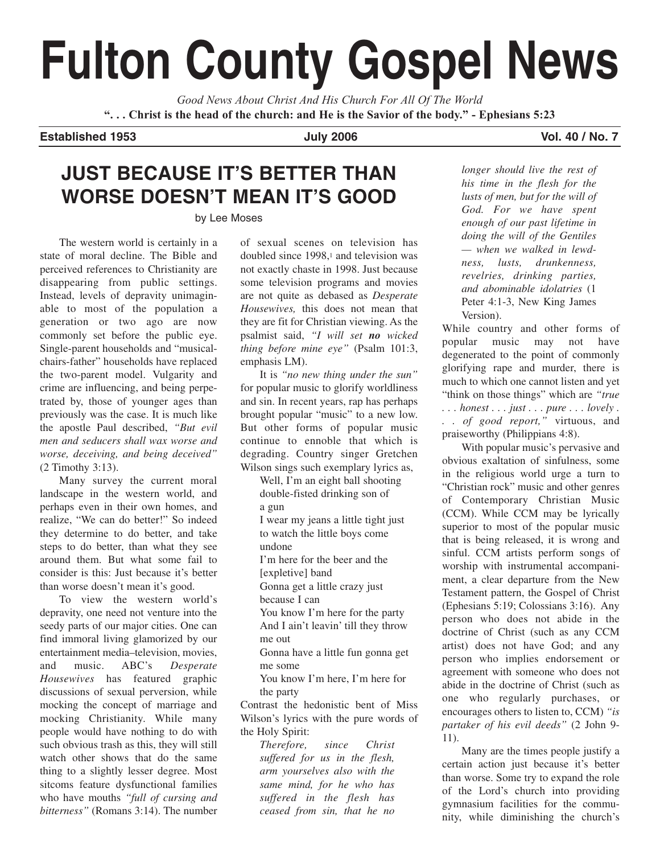# **Fulton County Gospel News**

*Good News About Christ And His Church For All Of The World* **". . . Christ is the head of the church: and He is the Savior of the body." - Ephesians 5:23**

### **Established 1953 July 2006 Vol. 40 / No. 7**

### **JUST BECAUSE IT'S BETTER THAN WORSE DOESN'T MEAN IT'S GOOD**

### by Lee Moses

The western world is certainly in a state of moral decline. The Bible and perceived references to Christianity are disappearing from public settings. Instead, levels of depravity unimaginable to most of the population a generation or two ago are now commonly set before the public eye. Single-parent households and "musicalchairs-father" households have replaced the two-parent model. Vulgarity and crime are influencing, and being perpetrated by, those of younger ages than previously was the case. It is much like the apostle Paul described, *"But evil men and seducers shall wax worse and worse, deceiving, and being deceived"* (2 Timothy 3:13).

Many survey the current moral landscape in the western world, and perhaps even in their own homes, and realize, "We can do better!" So indeed they determine to do better, and take steps to do better, than what they see around them. But what some fail to consider is this: Just because it's better than worse doesn't mean it's good.

To view the western world's depravity, one need not venture into the seedy parts of our major cities. One can find immoral living glamorized by our entertainment media–television, movies, and music. ABC's *Desperate Housewives* has featured graphic discussions of sexual perversion, while mocking the concept of marriage and mocking Christianity. While many people would have nothing to do with such obvious trash as this, they will still watch other shows that do the same thing to a slightly lesser degree. Most sitcoms feature dysfunctional families who have mouths *"full of cursing and bitterness"* (Romans 3:14). The number of sexual scenes on television has doubled since 1998,<sup>1</sup> and television was not exactly chaste in 1998. Just because some television programs and movies are not quite as debased as *Desperate Housewives,* this does not mean that they are fit for Christian viewing. As the psalmist said, *"I will set no wicked thing before mine eye"* (Psalm 101:3, emphasis LM).

It is *"no new thing under the sun"* for popular music to glorify worldliness and sin. In recent years, rap has perhaps brought popular "music" to a new low. But other forms of popular music continue to ennoble that which is degrading. Country singer Gretchen Wilson sings such exemplary lyrics as,

Well, I'm an eight ball shooting double-fisted drinking son of a gun I wear my jeans a little tight just to watch the little boys come undone I'm here for the beer and the [expletive] band Gonna get a little crazy just because I can

You know I'm here for the party And I ain't leavin' till they throw me out

Gonna have a little fun gonna get me some

You know I'm here, I'm here for the party

Contrast the hedonistic bent of Miss Wilson's lyrics with the pure words of the Holy Spirit:

*Therefore, since Christ suffered for us in the flesh, arm yourselves also with the same mind, for he who has suffered in the flesh has ceased from sin, that he no*

*longer should live the rest of his time in the flesh for the lusts of men, but for the will of God. For we have spent enough of our past lifetime in doing the will of the Gentiles — when we walked in lewdness, lusts, drunkenness, revelries, drinking parties, and abominable idolatries* (1 Peter 4:1-3, New King James Version).

While country and other forms of popular music may not have degenerated to the point of commonly glorifying rape and murder, there is much to which one cannot listen and yet "think on those things" which are *"true . . . honest . . . just . . . pure . . . lovely . . . of good report,"* virtuous, and praiseworthy (Philippians 4:8).

With popular music's pervasive and obvious exaltation of sinfulness, some in the religious world urge a turn to "Christian rock" music and other genres of Contemporary Christian Music (CCM). While CCM may be lyrically superior to most of the popular music that is being released, it is wrong and sinful. CCM artists perform songs of worship with instrumental accompaniment, a clear departure from the New Testament pattern, the Gospel of Christ (Ephesians 5:19; Colossians 3:16). Any person who does not abide in the doctrine of Christ (such as any CCM artist) does not have God; and any person who implies endorsement or agreement with someone who does not abide in the doctrine of Christ (such as one who regularly purchases, or encourages others to listen to, CCM) *"is partaker of his evil deeds"* (2 John 9- 11).

Many are the times people justify a certain action just because it's better than worse. Some try to expand the role of the Lord's church into providing gymnasium facilities for the community, while diminishing the church's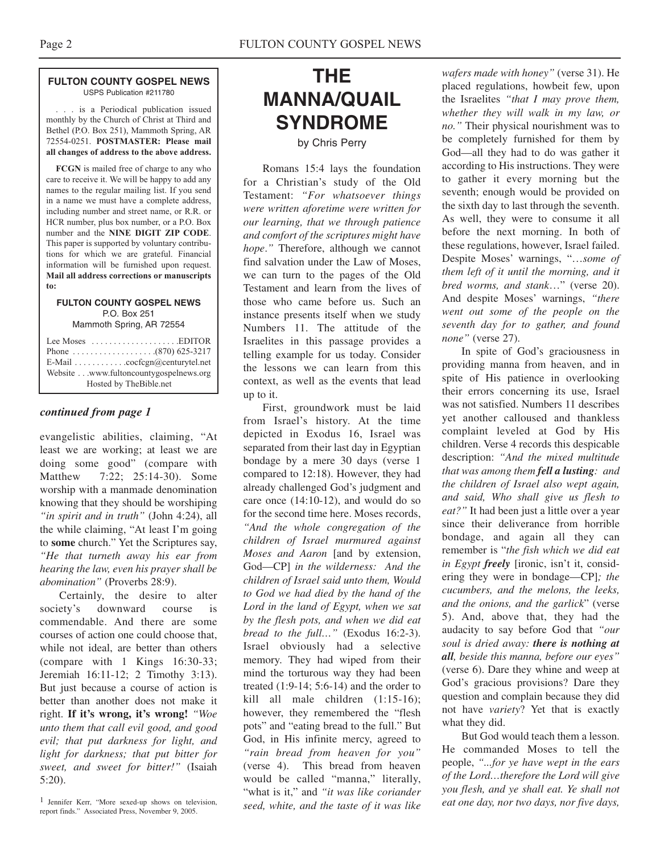#### **FULTON COUNTY GOSPEL NEWS** USPS Publication #211780

. . . is a Periodical publication issued monthly by the Church of Christ at Third and Bethel (P.O. Box 251), Mammoth Spring, AR 72554-0251. **POSTMASTER: Please mail all changes of address to the above address.**

**FCGN** is mailed free of charge to any who care to receive it. We will be happy to add any names to the regular mailing list. If you send in a name we must have a complete address, including number and street name, or R.R. or HCR number, plus box number, or a P.O. Box number and the **NINE DIGIT ZIP CODE**. This paper is supported by voluntary contributions for which we are grateful. Financial information will be furnished upon request. **Mail all address corrections or manuscripts to:**

#### **FULTON COUNTY GOSPEL NEWS** P.O. Box 251

Mammoth Spring, AR 72554

| Lee Moses $\dots \dots \dots \dots \dots$ . EDITOR |
|----------------------------------------------------|
|                                                    |
| E-Mail cocfcgn@centurytel.net                      |
| Website www.fultoncountygospelnews.org             |
| Hosted by TheBible.net                             |

### *continued from page 1*

evangelistic abilities, claiming, "At least we are working; at least we are doing some good" (compare with Matthew 7:22; 25:14-30). Some worship with a manmade denomination knowing that they should be worshiping *"in spirit and in truth"* (John 4:24), all the while claiming, "At least I'm going to **some** church." Yet the Scriptures say, *"He that turneth away his ear from hearing the law, even his prayer shall be abomination"* (Proverbs 28:9).

Certainly, the desire to alter society's downward course is commendable. And there are some courses of action one could choose that, while not ideal, are better than others (compare with 1 Kings 16:30-33; Jeremiah 16:11-12; 2 Timothy 3:13). But just because a course of action is better than another does not make it right. **If it's wrong, it's wrong!** *"Woe unto them that call evil good, and good evil; that put darkness for light, and light for darkness; that put bitter for sweet, and sweet for bitter!"* (Isaiah 5:20).

## **THE MANNA/QUAIL SYNDROME**

by Chris Perry

Romans 15:4 lays the foundation for a Christian's study of the Old Testament: *"For whatsoever things were written aforetime were written for our learning, that we through patience and comfort of the scriptures might have hope*.*"* Therefore, although we cannot find salvation under the Law of Moses, we can turn to the pages of the Old Testament and learn from the lives of those who came before us. Such an instance presents itself when we study Numbers 11. The attitude of the Israelites in this passage provides a telling example for us today. Consider the lessons we can learn from this context, as well as the events that lead up to it.

First, groundwork must be laid from Israel's history. At the time depicted in Exodus 16, Israel was separated from their last day in Egyptian bondage by a mere 30 days (verse 1 compared to 12:18). However, they had already challenged God's judgment and care once (14:10-12), and would do so for the second time here. Moses records, *"And the whole congregation of the children of Israel murmured against Moses and Aaron* [and by extension, God—CP] *in the wilderness: And the children of Israel said unto them, Would to God we had died by the hand of the Lord in the land of Egypt, when we sat by the flesh pots, and when we did eat bread to the full…"* (Exodus 16:2-3). Israel obviously had a selective memory. They had wiped from their mind the torturous way they had been treated (1:9-14; 5:6-14) and the order to kill all male children (1:15-16); however, they remembered the "flesh pots" and "eating bread to the full." But God, in His infinite mercy, agreed to *"rain bread from heaven for you"* (verse 4). This bread from heaven would be called "manna," literally, "what is it," and *"it was like coriander seed, white, and the taste of it was like*

*wafers made with honey"* (verse 31). He placed regulations, howbeit few, upon the Israelites *"that I may prove them, whether they will walk in my law, or no."* Their physical nourishment was to be completely furnished for them by God—all they had to do was gather it according to His instructions. They were to gather it every morning but the seventh; enough would be provided on the sixth day to last through the seventh. As well, they were to consume it all before the next morning. In both of these regulations, however, Israel failed. Despite Moses' warnings, "…*some of them left of it until the morning, and it bred worms, and stank*…" (verse 20). And despite Moses' warnings, *"there went out some of the people on the seventh day for to gather, and found none"* (verse 27).

In spite of God's graciousness in providing manna from heaven, and in spite of His patience in overlooking their errors concerning its use, Israel was not satisfied. Numbers 11 describes yet another calloused and thankless complaint leveled at God by His children. Verse 4 records this despicable description: *"And the mixed multitude that was among them fell a lusting: and the children of Israel also wept again, and said, Who shall give us flesh to eat?"* It had been just a little over a year since their deliverance from horrible bondage, and again all they can remember is "*the fish which we did eat in Egypt freely* [ironic, isn't it, considering they were in bondage—CP]*; the cucumbers, and the melons, the leeks, and the onions, and the garlick*" (verse 5). And, above that, they had the audacity to say before God that *"our soul is dried away: there is nothing at all, beside this manna, before our eyes"* (verse 6). Dare they whine and weep at God's gracious provisions? Dare they question and complain because they did not have *variety*? Yet that is exactly what they did.

But God would teach them a lesson. He commanded Moses to tell the people, *"...for ye have wept in the ears of the Lord…therefore the Lord will give you flesh, and ye shall eat. Ye shall not eat one day, nor two days, nor five days,*

<sup>1</sup> Jennifer Kerr, "More sexed-up shows on television, report finds." Associated Press, November 9, 2005.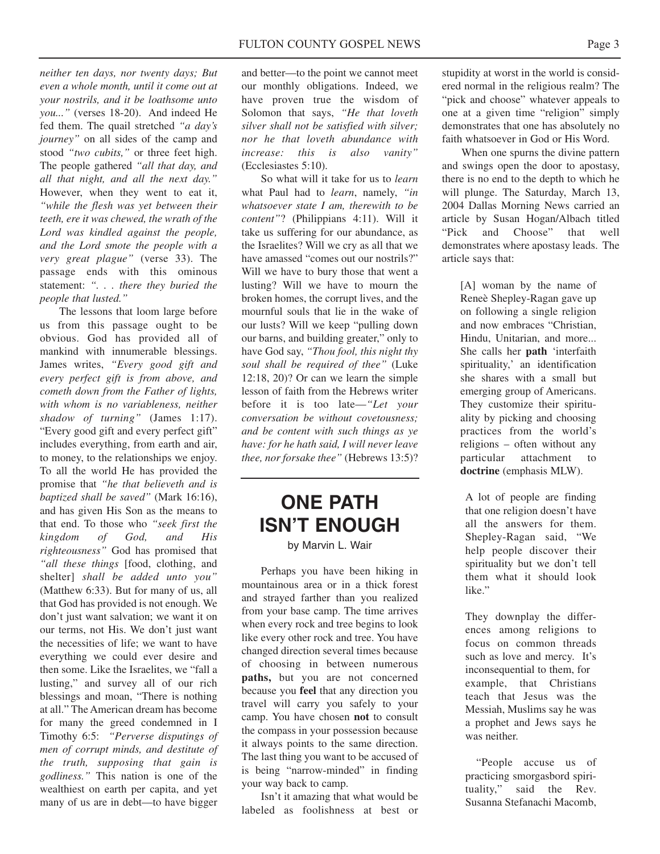*neither ten days, nor twenty days; But even a whole month, until it come out at your nostrils, and it be loathsome unto you..."* (verses 18-20). And indeed He fed them. The quail stretched *"a day's journey"* on all sides of the camp and stood *"two cubits,"* or three feet high. The people gathered *"all that day, and all that night, and all the next day."* However, when they went to eat it, *"while the flesh was yet between their teeth, ere it was chewed, the wrath of the Lord was kindled against the people, and the Lord smote the people with a very great plague"* (verse 33). The passage ends with this ominous statement: *". . . there they buried the people that lusted."*

The lessons that loom large before us from this passage ought to be obvious. God has provided all of mankind with innumerable blessings. James writes, *"Every good gift and every perfect gift is from above, and cometh down from the Father of lights, with whom is no variableness, neither shadow of turning"* (James 1:17). "Every good gift and every perfect gift" includes everything, from earth and air, to money, to the relationships we enjoy. To all the world He has provided the promise that *"he that believeth and is baptized shall be saved"* (Mark 16:16), and has given His Son as the means to that end. To those who *"seek first the kingdom of God, and His righteousness"* God has promised that *"all these things* [food, clothing, and shelter] *shall be added unto you"* (Matthew 6:33). But for many of us, all that God has provided is not enough. We don't just want salvation; we want it on our terms, not His. We don't just want the necessities of life; we want to have everything we could ever desire and then some. Like the Israelites, we "fall a lusting," and survey all of our rich blessings and moan, "There is nothing at all." The American dream has become for many the greed condemned in I Timothy 6:5: *"Perverse disputings of men of corrupt minds, and destitute of the truth, supposing that gain is godliness."* This nation is one of the wealthiest on earth per capita, and yet many of us are in debt—to have bigger

and better—to the point we cannot meet our monthly obligations. Indeed, we have proven true the wisdom of Solomon that says, *"He that loveth silver shall not be satisfied with silver; nor he that loveth abundance with increase: this is also vanity"* (Ecclesiastes 5:10).

So what will it take for us to *learn* what Paul had to *learn*, namely, *"in whatsoever state I am, therewith to be content"*? (Philippians 4:11). Will it take us suffering for our abundance, as the Israelites? Will we cry as all that we have amassed "comes out our nostrils?" Will we have to bury those that went a lusting? Will we have to mourn the broken homes, the corrupt lives, and the mournful souls that lie in the wake of our lusts? Will we keep "pulling down our barns, and building greater," only to have God say, *"Thou fool, this night thy soul shall be required of thee"* (Luke 12:18, 20)? Or can we learn the simple lesson of faith from the Hebrews writer before it is too late—*"Let your conversation be without covetousness; and be content with such things as ye have: for he hath said, I will never leave thee, nor forsake thee"* (Hebrews 13:5)?

### **ONE PATH ISN'T ENOUGH**

### by Marvin L. Wair

Perhaps you have been hiking in mountainous area or in a thick forest and strayed farther than you realized from your base camp. The time arrives when every rock and tree begins to look like every other rock and tree. You have changed direction several times because of choosing in between numerous **paths,** but you are not concerned because you **feel** that any direction you travel will carry you safely to your camp. You have chosen **not** to consult the compass in your possession because it always points to the same direction. The last thing you want to be accused of is being "narrow-minded" in finding your way back to camp.

Isn't it amazing that what would be labeled as foolishness at best or

stupidity at worst in the world is considered normal in the religious realm? The "pick and choose" whatever appeals to one at a given time "religion" simply demonstrates that one has absolutely no faith whatsoever in God or His Word.

When one spurns the divine pattern and swings open the door to apostasy, there is no end to the depth to which he will plunge. The Saturday, March 13, 2004 Dallas Morning News carried an article by Susan Hogan/Albach titled "Pick and Choose" that well demonstrates where apostasy leads. The article says that:

> [A] woman by the name of Reneè Shepley-Ragan gave up on following a single religion and now embraces "Christian, Hindu, Unitarian, and more... She calls her **path** 'interfaith spirituality,' an identification she shares with a small but emerging group of Americans. They customize their spirituality by picking and choosing practices from the world's religions – often without any particular attachment to **doctrine** (emphasis MLW).

A lot of people are finding that one religion doesn't have all the answers for them. Shepley-Ragan said, "We help people discover their spirituality but we don't tell them what it should look like."

They downplay the differences among religions to focus on common threads such as love and mercy. It's inconsequential to them, for example, that Christians teach that Jesus was the Messiah, Muslims say he was a prophet and Jews says he was neither.

"People accuse us of practicing smorgasbord spirituality," said the Rev. Susanna Stefanachi Macomb,